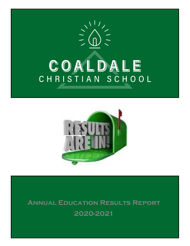



**Annual Education Results Report 2020-2021**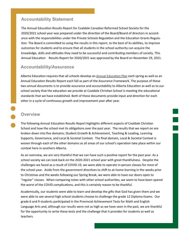#### **Accountability Statement**

The Annual Education Results Report for Coaldale Canadian Reformed School Society for the 2020/2021 school year was prepared under the direction of the Board/Board of directors in accordance with the responsibilities under the Private Schools Regulation and the Education Grants Regulation. The Board is committed to using the results in this report, to the best of its abilities, to improve outcomes for students and to ensure that all students in the school authority can acquire the knowledge, skills and attitudes they need to be successful and contributing members of society. This Annual Education Results Report for 2020/2021 was approved by the Board on November 29, 2021.

#### **Accountability/Assurance**

Alberta Education requires that all schools develop an [Annual Education Plan](https://www.coaldalechristianschool.com/editoruploads/files/Policies/Annual_Ed_Plan_2021.pdf) each spring as well as an Annual Education Results Report each fall as part of the Assurance Framework. The purpose of these two annual documents is to provide assurance and accountability to Alberta Education as well as to our school society that the education we provide at Coaldale Christian School is meeting the educational standards that we have established. Both of these documents provide input and direction for each other in a cycle of continuous growth and improvement year after year.

#### **Overview**

The following Annual Education Results Report highlights different aspects of Coaldale Christian School and how the school met its obligations over the past year. The results that we report on are broken down into five domains; Student Growth & Achievement, Teaching & Leading, Learning Supports, Governance, and Local & Societal Context. The final domain, Local & Societal Context is woven through each of the other domains as all areas of our school's operation take place within our context here in southern Alberta.

As an overview, we are very thankful that we can have such a positive report for the past year. As a school society we can look back on the 2020-2021 school year with great thankfulness. Despite the challenges we faced as a result of COVID-19, we were able to operate in-person classes for most of the school year. Aside from the government directives to shift to at-home learning in the weeks prior to Christmas and the weeks following our Spring Break, we were able to have our doors open to "regular" classes. When comparing notes with other school authorities, we seem to have been spared the worst of the COVID complications, and this is certainly reason to be thankful.

Academically, our students were able to learn and develop the gifts that God has given them and we were able to see several high school students choose to challenge the grade 12 Diploma Exams. Our grade 6 and 9 students participated in the Provincial Achievement Tests for Math and English Language Arts and, although our results were not as high as we have seen in the past, we are thankful for the opportunity to write these tests and the challenge that it provides for students as well as teachers.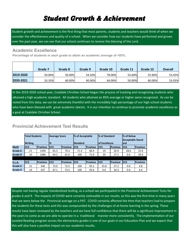# *Student Growth & Achievement*

Student growth and achievement is the first thing that most parents, students and teachers would think of when we consider the effectiveness and quality of a school. When we consider how our students have performed and grown over the past year, we can see that our school continues to receive the blessing of the Lord.

#### **Academic Excellence**

**Percentage of students in each grade to attain an academic average of >85%.**

|           | Grade 7 | Grade 8 | Grade 9 | Grade 10 | Grade 11 | Grade 12 | <b>Overall</b> |
|-----------|---------|---------|---------|----------|----------|----------|----------------|
| 2019-2020 | 50.00%  | 50.00%  | 54.50%  | 78.00%   | 55.60%   | 55.60%   | 53.45%         |
| 2020-2021 | 33.33%  | 60.00%  | 40.00%  | 64.00%   | 50.00%   | 60.00%   | 53.03%         |

In the 2019-2020 school year, Coaldale Christian School began the process of tracking and recognizing students who attained a high academic standard. All students who attained an 85% average or higher were recognized. As can be noted from this data, we can be extremely thankful with the incredibly high percentage of our high school students who have been blessed with great academic talents. It is our intention to continue to promote academic excellence as a goal at Coaldale Christian School.

#### **Provincial Achievement Test Results**

|               | <b>Total Students</b><br><b>Writing</b> |                 | <b>Average Score</b><br>$\frac{10}{6}$ |                 | % of Acceptable<br><b>Standard</b> |                 | % of Standard<br>lof Excellence |                 | % of Below<br><b>Acceptable Stand-</b><br>lard |                 |
|---------------|-----------------------------------------|-----------------|----------------------------------------|-----------------|------------------------------------|-----------------|---------------------------------|-----------------|------------------------------------------------|-----------------|
| <b>Math</b>   | <b>ICCS</b>                             | <b>Province</b> | <b>CCS</b>                             | <b>Province</b> | <b>CCS</b>                         | <b>Province</b> | <b>CCS</b>                      | <b>Province</b> | ICCS                                           | <b>Province</b> |
| Grade 6       | 21                                      | 1440            | 65.5                                   | 70.4            | 71.4                               | 84.4            | 19                              | 26.9            | 28.6                                           | 15.6            |
| Grade 9       | 10                                      | 1086            | 64.2                                   | 61.0            | 100                                | 71.0            | 20                              | 27.5            | 0.0                                            | 29.0            |
|               |                                         |                 |                                        |                 |                                    |                 |                                 |                 |                                                |                 |
| <b>E.L.A.</b> | <b>ICCS</b>                             | <b>Province</b> | <b>CCS</b>                             | <b>Province</b> | <b>CCS</b>                         | <b>Province</b> | <b>CCS</b>                      | <b>Province</b> | <b>CCS</b>                                     | <b>Province</b> |
| Grade 6       | 21                                      | 546             | 73.0                                   | 72.5            | 100                                | 95.2            | 23.8                            | 37.2            | 0.0                                            | 4.8             |
| Grade 9       | 10                                      | 437             | 67.1                                   | 73.5            | 100                                | 93.6            | 0.0                             | 34.3            | 0.0                                            | 6.4             |

Despite not having regular standardized testing, as a school we participated in the Provincial Achievement Tests for grades 6 and 9. The impacts of COVID were certainly noticeable in our results, as this was the first time in many years that we were below the Provincial average on a PAT. COVID certainly affected the time that teachers had to prepare the students for these tests and this was compounded by the challenges of at-home learning in the spring. These results have been reviewed by the teachers and we have full confidence that there will be a significant improvement in the years to come as we are able to operate in a traditional manner more consistently. The implementation of our Leveled Reading program across the elementary grades is one of our goals in our Education Plan and we expect that this will also have a positive impact on our academic results.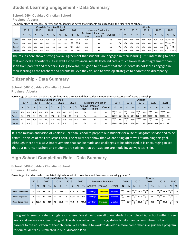## **Student Learning Engagement - Data Summary**

#### **School: 6494 Coaldale Christian School**

**Province: Alberta**

The percentage of teachers, parents and students who agree that students are engaged in their learning at school.

|                |                                                            |                                                                                 |      |     | Coaldale Christian School |     |      |     |      |       |                  |                           |         |      |               |      |               | Alberta |               |      |               |             |               |
|----------------|------------------------------------------------------------|---------------------------------------------------------------------------------|------|-----|---------------------------|-----|------|-----|------|-------|------------------|---------------------------|---------|------|---------------|------|---------------|---------|---------------|------|---------------|-------------|---------------|
|                | 2017                                                       |                                                                                 | 2018 |     | 2019                      |     | 2020 |     | 2021 |       |                  | <b>Measure Evaluation</b> |         | 2017 |               | 2018 |               | 2019    |               | 2020 |               | 2021        |               |
|                | N                                                          | $\frac{9}{6}$<br>$\frac{0}{0}$<br>$\frac{9}{6}$<br>$\frac{0}{0}$<br>N<br>N<br>N |      |     |                           |     |      |     |      |       | Achieve-<br>ment | Improve-<br>ment          | Overall | N    | $\frac{0}{6}$ | N    | $\frac{0}{0}$ | N       | $\frac{0}{6}$ | N    | $\frac{9}{6}$ | N           | $\frac{0}{6}$ |
| Overall        | n/a                                                        | n/a                                                                             | n/a  | n/a | n/a                       | n/a | n/a  | n/a | 166  | 91.3  | n/a              | n/a                       | n/a     | n/a  | n/a           | n/a  | n/a           | n/a     | n/a           | n/a  | n/a           | 230,95 85.6 |               |
| Parent         | n/a                                                        | n/a                                                                             | n/a  | n/a | n/a                       | n/a | n/a  | n/a | 30   | 98.9  | n/a              | n/a                       | n/a     | n/a  | n/a           | n/a  | n/a           | n/a     | n/a           | n/a  | n/a           | 30,994      | 89.0          |
| <b>Student</b> | n/a                                                        | n/a                                                                             | n/a  | n/a | n/a                       | n/a | n/a  | n/a | 125  | 75.1  | n/a              | n/a                       | n/a     | n/a  | n/a           | n/a  | n/a           | n/a     | n/a           | n/a  | n/a           | 169,78      | 71.8          |
| Teacher        | n/a<br>11<br>n/a<br>n/a<br>n/a<br>n/a<br>n/a<br>n/a<br>n/a |                                                                                 |      |     |                           |     |      |     |      | 100.0 | n/a              | n/a                       | n/a     | n/a  | n/a           | n/a  | n/a           | n/a     | n/a           | n/a  | n/a           | 30,173      | 96.0          |

The results here show a strong overall agreement that students are engaged in their learning. It is interesting to note that our local authority results as well as the Provincial results both indicate a much lower student agreement than is seen from parents and teachers. Going forward, it is good to be aware that the students do not feel as engaged in their learning as the teachers and parents believe they do, and to develop strategies to address this discrepancy.

#### **Citizenship - Data Summary**

#### **School: 6494 Coaldale Christian School Province: Alberta**

Percentage of teachers, parents and students who are satisfied that students model the characteristics of active citizenship.

|         |      |               |      |               |      |      | Coaldale Christian School |      |      |               |      |                           |         |                                                             |      |                                                                |               | Alberta                        |      |        |      |                  |               |
|---------|------|---------------|------|---------------|------|------|---------------------------|------|------|---------------|------|---------------------------|---------|-------------------------------------------------------------|------|----------------------------------------------------------------|---------------|--------------------------------|------|--------|------|------------------|---------------|
|         | 2017 |               | 2018 |               | 2019 |      | 2020                      |      | 2021 |               |      | <b>Measure Evaluation</b> |         | 2017                                                        |      | 2018                                                           |               | 2019                           |      | 2020   |      | 2021             |               |
|         | N    | $\frac{0}{0}$ | N    | $\frac{0}{2}$ | N    | $\%$ | N                         | $\%$ | N    | $\frac{9}{6}$ | ment | Achieve- Improve-<br>ment | Overall | N                                                           | $\%$ | N                                                              | $\frac{9}{6}$ | N                              | $\%$ | N      | $\%$ | <sub>N</sub>     | $\frac{0}{6}$ |
| Overall | 134  | 92.0          | 152  | 91.6          | 169  | 93.7 | 169                       | 93.3 | 166  | 94.4          | n/a  | n/a                       | n/a     | 299,97                                                      | 83.7 | $\begin{array}{ c c c c }\n\hline\n253,72 & 83.0\n\end{array}$ |               | 265,61                         | 82.9 | 264,41 |      | 83.3 230,84      | 83.2          |
| Parent  | 32   | 97.5          | 36   | 97.7          | 50   | 97.2 | 42                        | 95.2 | 30   | 94.0          | n/a  | n/a                       | n/a     | 32.863                                                      | 82.7 |                                                                |               | 35,482 81.7 35,247 81.9 36,891 |      |        |      | 82.4 30.905 81.4 |               |
| Student | 93   | 80.6          | 104  | 77.2          | 110  | 84.4 | 118                       | 86.8 | 125  | 91.1          | n/a  | n/a                       | n/a     | 235,64                                                      | 74.4 | $\begin{array}{ c c c }\n 185,62 & 73.9\n \end{array}$         |               | 197,09                         | 73.5 | 193,57 | 73.8 | $ 169,74 $ 74.1  |               |
| Teacher | 9    | 97.8          | 12   | 100.0         | 9    | 97.8 | 9                         | 97.8 | 11   | 98.1          | n/a  | n/a                       | n/a     | 31,462 94.0 32,622 93.4 33,277 93.2 33,945 93.6 30,197 94.1 |      |                                                                |               |                                |      |        |      |                  |               |

It is the mission and vision of Coaldale Christian School to prepare our students for a life of Kingdom service and to be active disciples of the Lord Jesus Christ. The results here show that we are doing quite well at attaining this goal. Although there are always improvements that can be made and challenges to be addressed, it is encouraging to see that our parents, teachers and students are satisfied that our students are modeling active citizenship.

#### **High School Completion Rate - Data Summary**

#### **School: 6494 Coaldale Christian School Province: Alberta**

Percentage of students who completed high school within three, four and five years of entering grade 10.

|                          |    |               |    |               |    | Coaldale Christian School |    |       |    |      |                 |                           |           |      |      |                                                                                                            |      |              | Alberta       |       |               |       |               |
|--------------------------|----|---------------|----|---------------|----|---------------------------|----|-------|----|------|-----------------|---------------------------|-----------|------|------|------------------------------------------------------------------------------------------------------------|------|--------------|---------------|-------|---------------|-------|---------------|
|                          |    | 2016          |    | 2017          |    | 2018                      |    | 2019  |    | 2020 |                 | <b>Measure Evaluation</b> |           | 2016 |      | 2017                                                                                                       |      |              | 2018          | 2019  |               | 2020  |               |
|                          | N  | $\frac{0}{6}$ | N  | $\frac{9}{6}$ | N  | $\%$                      | N  | %     | N  | $\%$ |                 | Achieve- Improve-         | Overall   | N.   | $\%$ | N <sub>1</sub>                                                                                             | $\%$ | <sub>N</sub> | $\frac{0}{0}$ | N.    | $\frac{0}{0}$ | N.    | $\frac{0}{0}$ |
| 3 Year Completion        | 12 | 76.7          | 13 | 78.7          | 8  | 100.0                     | 11 | 92.1  |    | 89.8 | Very High       | <b>Maintained</b>         | Excellent |      |      | $\frac{44,82}{3}$ 78.5 $\frac{44,98}{3}$ 78.7                                                              |      | 44,97        | 79.7          | 45,35 | 80.3          | 46,24 | 83.4          |
| 4 Year Completion        | 10 | 82.9          | 12 | 76.0          | 13 | 78.1                      | 8  | 100.0 | 11 |      | 91.8 Very High  | Maintained N              | Excellent |      |      | $\begin{array}{ c c c c c } \hline & 43,73 & 81.6 & 44,84 \\ \hline 9 & 81.6 & 1 & 1 \ \hline \end{array}$ | 83.0 | 44,99        | 83.3          | 44,98 | 84.0          | 45,35 | 85.0          |
| <b>5 Year Completion</b> | 9  | 100.0         | 10 | 82.9          | 12 | 76.2                      | 13 | 78.1  | -8 |      | 100.0 Very High | Improved                  | Excellent |      |      | $\frac{44,19}{3}$ 83.6 $\frac{43,73}{6}$ 83.8                                                              |      | 44,84        | 85.2          | 44,98 | 85.3          | 44,97 | 86.2          |

It is great to see consistently high results here. We strive to see all of our students complete high school within three years and we are very near that goal. This data is reflective of strong, stable families, and a commitment of our parents to the education of their children. We continue to work to develop a more comprehensive guidance program for our students as is reflected in our Education Plan.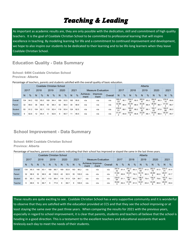# *Teaching & Leading*

As important as academic results are, they are only possible with the dedication, skill and commitment of high quality teachers. It is the goal of Coaldale Christian School to be committed to professional learning that will inspire excellence in teaching. By modeling learning for life and a commitment to continued improvement and development, we hope to also inspire our students to be dedicated to their learning and to be life-long learners when they leave Coaldale Christian School.

#### **Education Quality - Data Summary**

**School: 6494 Coaldale Christian School Province: Alberta**

Percentage of teachers, parents and students satisfied with the overall quality of basic education.

|         |                                                                                                                                                       |      |      |      |      |      | Coaldale Christian School |      |      |      |                  |                           |         |             |      |             |               | Alberta     |               |             |               |             |               |
|---------|-------------------------------------------------------------------------------------------------------------------------------------------------------|------|------|------|------|------|---------------------------|------|------|------|------------------|---------------------------|---------|-------------|------|-------------|---------------|-------------|---------------|-------------|---------------|-------------|---------------|
|         | 2017                                                                                                                                                  |      | 2018 |      | 2019 |      | 2020                      |      | 2021 |      |                  | <b>Measure Evaluation</b> |         | 2017        |      | 2018        |               | 2019        |               | 2020        |               | 2021        |               |
|         | $\frac{0}{6}$<br>$\frac{0}{0}$<br>$\frac{9}{6}$<br>$\frac{0}{0}$<br>N<br>N<br>N<br>N<br>N<br>169<br>169<br>93.5<br>94.2<br>94.4<br>134<br>152<br>95.0 |      |      |      |      |      |                           |      |      |      | Achieve-<br>ment | Improve-<br>ment          | Overall | N           | $\%$ | N           | $\frac{9}{6}$ | N           | $\frac{0}{6}$ | N           | $\frac{0}{0}$ | N           | $\frac{0}{6}$ |
| Overall |                                                                                                                                                       |      |      |      |      |      |                           |      | 165  | 95.6 | n/a              | n/a                       | n/a     | 300,2<br>53 | 90.1 | 254,0<br>26 | 90.0          | 265,8       | 90.2          | 264,6<br>23 | 90.3          | 230,8<br>14 | 89.6          |
| Parent  | 32                                                                                                                                                    | 99.0 | 36   | 98.6 | 50   | 98.3 | 42                        | 96.4 | 30   | 98.9 | n/a              | n/a                       | n/a     | 32,88       | 86.4 | 35,49       | 86.0          | 35,26       | 86.4          | 36,90       | 86.7          | 31,02       | 86.7          |
| Student | 93                                                                                                                                                    | 91.2 | 104  | 92.1 | 110  | 92.4 | 118                       | 93.4 | 124  | 92.5 | n/a              | n/a                       | n/a     | 235,9<br>01 | 88.1 | 185,8<br>88 | 88.2          | 197,2<br>82 | 88.1          | 193,7<br>63 | 87.8          | 169,5<br>89 | 86.3          |
| Teacher | 9<br>12<br>90.7<br>11<br>92.6<br>92.6<br>9<br>94.4<br>Q                                                                                               |      |      |      |      |      |                           |      |      | 95.5 | n/a              | n/a                       | n/a     | 31,47       | 95.9 | 32,63       | 95.8          | 33,29       | 96.1          | 33,95       | 96.4          | 30,20       | 95.7          |

## **School Improvement - Data Summary**

**School: 6494 Coaldale Christian School Province: Alberta**

Percentage of teachers, parents and students indicating that their school has improved or stayed the same in the last three years.

|                |                                                                    |      |      |      |      | Coaldale Christian School |      |      |      |       |      |                           |         |             |               |             |               | Alberta     |      |             |               |             |      |
|----------------|--------------------------------------------------------------------|------|------|------|------|---------------------------|------|------|------|-------|------|---------------------------|---------|-------------|---------------|-------------|---------------|-------------|------|-------------|---------------|-------------|------|
|                | 2017                                                               |      | 2018 |      | 2019 |                           | 2020 |      | 2021 |       |      | <b>Measure Evaluation</b> |         | 2017        |               | 2018        |               | 2019        |      | 2020        |               | 2021        |      |
|                | $\frac{9}{6}$<br>$\frac{0}{0}$<br>$\%$<br>N<br>$\%$<br>N<br>N<br>N |      |      |      |      |                           |      |      |      | $\%$  | ment | Achieve Improve-<br>ment  | Overall | N           | $\frac{9}{6}$ | N           | $\frac{9}{6}$ | N           | $\%$ | N           | $\frac{0}{0}$ | N           | $\%$ |
| Overall        | 134                                                                | 90.3 | 148  | 83.1 | 168  | 88.7                      | 169  | 83.8 | 163  | 98.2  | n/a  | n/a                       | n/a     | 297,6<br>32 | 81.4          | 251,2<br>46 | 80.3          | 263,3<br>64 | 81.0 | 262,0<br>79 | 81.5          | 224,0<br>41 | 81.4 |
| Parent         | 32                                                                 | 96.9 | 32   | 96.9 | 49   | 100.0                     | 42   | 92.9 | 30   | 100.0 | n/a  | n/a                       | n/a     | 31,84       | 80.8          | 34,23       | 79.3          | 34,15       | 80.3 | 35,89       | 80.0          | 28,01<br>6  | 81.7 |
| <b>Student</b> | 93                                                                 | 85.1 | 104  | 85.7 | 110  | 88.4                      | 118  | 91.9 | 124  | 94.7  | n/a  | n/a                       | n/a     | 234,9<br>64 | 81.1          | 185,1<br>06 | 80.2          | 196,5<br>92 | 79.4 | 192,9<br>17 | 79.6          | 167,9<br>92 | 79.1 |
| Teacher        |                                                                    | 88.9 | 12   | 66.7 | 9    | 77.8                      | 9    | 66.7 | 9    | 100.0 | n/a  | n/a                       | n/a     | 30,82<br>3  | 82.2          | 31,90       | 81.5          | 32,61       | 83.4 | 33,26<br>6  | 85.0          | 28,03       | 83.4 |

These results are quite exciting to see. Coaldale Christian School has a very supportive community and it is wonderful to observe that they are satisfied with the education provided at CCS and that they see the school improving or at least staying the same over the past three years. When comparing the results for 2021 with the previous years, especially in regard to school improvement, it is clear that parents, students and teachers all believe that the school is heading in a good direction. This is a testament to the excellent teachers and educational assistants that work tirelessly each day to meet the needs of their students.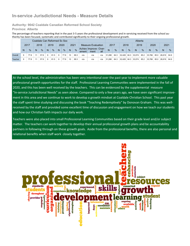## **In-service Jurisdictional Needs - Measure Details**

**Authority: 9042 Coaldale Canadian Reformed School Society Province: Alberta**

The percentage of teachers reporting that in the past 3-5 years the professional development and in-servicing received from the school authority has been focused, systematic and contributed significantly to their ongoing professional growth.

|         |   |      |    | Coaldale Can Reformed Sc Soc |   |               |   |               |      |               |       |                               |     |        |               |        |      | Alberta |               |        |               |        |      |
|---------|---|------|----|------------------------------|---|---------------|---|---------------|------|---------------|-------|-------------------------------|-----|--------|---------------|--------|------|---------|---------------|--------|---------------|--------|------|
|         |   | 2017 |    | 2018                         |   | 2019          |   | 2020          | 2021 |               |       | Measure Evaluation            |     | 2017   |               | 2018   |      | 2019    |               | 2020   |               | 2021   |      |
|         | N | $\%$ | N  | $\%$                         | N | $\frac{0}{0}$ | N | $\frac{9}{6}$ | N    | $\frac{9}{6}$ | ement | Achiev Improve- Over-<br>ment | all |        | $\frac{0}{0}$ | N      | $\%$ | N       | $\frac{0}{6}$ | N      | $\frac{0}{0}$ | N      | $\%$ |
| Overall | 9 | 77.8 | 11 | 57.6                         | 9 | 81.5          | 9 | 77.8          | 10   | 89.3          | n/a   | n/a                           | n/a | 31.288 | 84.3          | 32.428 | 84.3 | 33.074  | 85.2          | 33.766 | 85.0          | 26.619 | 84.9 |
| Teacher | 9 | 77.8 |    | 57.6                         | 9 | 81.5          | 9 | 77.8          | 10   | 89.3          | n/a   | n/a                           | n/a | 31.288 | 84.3          | 32.428 | 84.3 | 33,074  | 85.2          | 33,766 | 85.0          | 26.619 | 84.9 |

At the school level, the administration has been very intentional over the past year to implement more valuable professional growth opportunities for the staff. Professional Learning Communities were implemented in the fall of 2020, and this has been well received by the teachers. This can be evidenced by the supplemental measure "In-service Jurisdictional Needs" as seen above. Compared to only a few years ago, we have seen significant improvement in this area and we continue to work to develop a growth mindset at Coaldale Christian School. This past year the staff spent time studying and discussing the book "Teaching Redemptively" by Donovan Graham. This was wellreceived by the staff and provided some excellent time of discussion and engagement on how we teach our students and how our Christian faith impacts our daily work.

Teachers were also placed into small Professional Learning Communities based on their grade level and/or subject matter. The teachers can work together to develop their annual professional growth plans and be accountability partners in following through on these growth goals. Aside from the professional benefits, there are also personal and relational benefits when staff work closely together.

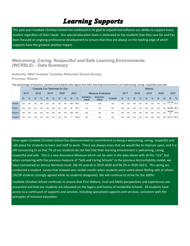# *Learning Supports*

This past year Coaldale Christian School has continued in its goal to expand and enhance our ability to support every student regardless of their needs. Our special education team is dedicated to the students that they care for and has been focused on ongoing professional development to ensure that they are always on the leading edge of which supports have the greatest positive impact.

#### **Welcoming, Caring, Respectful and Safe Learning Environments (WCRSLE) - Data Summary**

**Authority: 9042 Coaldale Canadian Reformed School Society Province: Alberta**

|                |      |      |      |               | Coaldale Can Reformed Sc Soc |               |      |               |      |               |                  |                           |         |      |               |      |               | Alberta |               |      |               |                    |      |
|----------------|------|------|------|---------------|------------------------------|---------------|------|---------------|------|---------------|------------------|---------------------------|---------|------|---------------|------|---------------|---------|---------------|------|---------------|--------------------|------|
|                | 2017 |      | 2018 |               | 2019                         |               | 2020 |               | 2021 |               |                  | <b>Measure Evaluation</b> |         | 2017 |               | 2018 |               | 2019    |               | 2020 |               | 2021               |      |
|                | N    | $\%$ | N    | $\frac{9}{6}$ | N                            | $\frac{9}{6}$ | N    | $\frac{9}{6}$ | N    | $\frac{0}{0}$ | Achieve-<br>ment | Improve-<br>ment          | Overall | N    | $\frac{0}{6}$ | N    | $\frac{0}{0}$ | N       | $\frac{0}{6}$ | N    | $\frac{0}{6}$ | N                  | $\%$ |
| Overall        | n/a  | n/a  | n/a  | n/a           | n/a                          | n/a           | n/a  | n/a           | 166  | 96.2          | n/a              | n/a                       | n/a     | n/a  | n/a           | n/a  | n/a           | n/a     | n/a           | n/a  | n/a           | 231,09             | 87.8 |
| Parent         | n/a  | n/a  | n/a  | n/a           | n/a                          | n/a           | n/a  | n/a           | 30   | 95.3          | n/a              | n/a                       | n/a     | n/a  | n/a           | n/a  | n/a           | n/a     | n/a           | n/a  | n/a           | 30,980 88.2        |      |
| <b>Student</b> | n/a  | n/a  | n/a  | n/a           | n/a                          | n/a           | n/a  | n/a           | 125  | 93.1          | n/a              | n/a                       | n/a     | n/a  | n/a           | n/a  | n/a           | n/a     | n/a           | n/a  | n/a           | 169,90<br>$\Omega$ | 79.8 |
| Teacher        | n/a  | n/a  | n/a  | n/a           | n/a                          | n/a           | n/a  | n/a           |      | 100.0         | n/a              | n/a                       | n/a     | n/a  | n/a           | n/a  | n/a           | n/a     | n/a           | n/a  | n/a           | 30,211             | 95.3 |

The percentage of teachers, parents and students who agree that their learning environments are welcoming, caring, respectful and safe.

Once again Coaldale Christian School has demonstrated its commitment to being a welcoming, caring, respectful and safe place for students to learn and staff to work. There are always areas that we would like to improve upon, and it is still concerning to us that 7% of our students do not feel that their learning environment is welcoming, caring, respectful and safe. This is a new Assurance Measure which can be seen in the data above with all the "n/a", but when comparing with the previous measure of "Safe and Caring Schools" in the previous Accountability model, we have maintained an almost identical result. (96.5% overall in 2019-2020 and 96.2% in 2020-2021). This spring we conducted a student survey that showed very similar results when students were asked about feeling safe at school (26/28 students strongly agreed while no students disagreed). We will continue to strive for the 100%!

Coaldale Christian School continues to ensure that First Nations, Inuit and Metis perspectives and experiences are presented and that our students are educated on the legacy and history of residential Schools. All students have access to a continuum of supports and services, including specialized supports and services, consistent with the principles of inclusive education.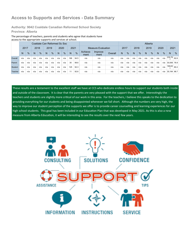## **Access to Supports and Services - Data Summary**

**Authority: 9042 Coaldale Canadian Reformed School Society Province: Alberta**

The percentage of teachers, parents and students who agree that students have access to the appropriate supports and services at school.

|                |      | . .                                                                                                              |      |     |      |     | Coaldale Can Reformed Sc Soc |     |      |      |                  |                           |         |      |     |      |               | Alberta |               |      |               |                      |      |
|----------------|------|------------------------------------------------------------------------------------------------------------------|------|-----|------|-----|------------------------------|-----|------|------|------------------|---------------------------|---------|------|-----|------|---------------|---------|---------------|------|---------------|----------------------|------|
|                | 2017 |                                                                                                                  | 2018 |     | 2019 |     | 2020                         |     | 2021 |      |                  | <b>Measure Evaluation</b> |         | 2017 |     | 2018 |               | 2019    |               | 2020 |               | 2021                 |      |
|                | N    | $\frac{0}{6}$<br>$\frac{0}{6}$<br>$\%$<br>%<br>N<br>N<br>N<br>N<br>n/a<br>n/a<br>n/a<br>n/a<br>n/a<br>n/a<br>n/a |      |     |      |     |                              |     |      |      | Achieve-<br>ment | Improve-<br>ment          | Overall | N    | %   | N    | $\frac{9}{6}$ | N       | $\frac{9}{6}$ | N    | $\frac{9}{6}$ | N                    | $\%$ |
| Overall        | n/a  |                                                                                                                  |      |     |      |     |                              |     | 166  | 94.5 | n/a              | n/a                       | n/a     | n/a  | n/a | n/a  | n/a           | n/a     | n/a           | n/a  | n/a           | $\sqrt{230,76}$ 82.6 |      |
| Parent         | n/a  | n/a                                                                                                              | n/a  | n/a | n/a  | n/a | n/a                          | n/a | 30   | 98.6 | n/a              | n/a                       | n/a     | n/a  | n/a | n/a  | n/a           | n/a     | n/a           | n/a  | n/a           | 30,936 78.9          |      |
| <b>Student</b> | n/a  | n/a                                                                                                              | n/a  | n/a | n/a  | n/a | n/a                          | n/a | 125  | 92.3 | n/a              | n/a                       | n/a     | n/a  | n/a | n/a  | n/a           | n/a     | n/a           | n/a  | n/a           | 169,63               | 80.2 |
| Teacher        | n/a  | n/a<br>n/a<br>n/a<br>11<br>n/a<br>n/a<br>n/a<br>n/a                                                              |      |     |      |     |                              |     |      |      | n/a              | n/a                       | n/a     | n/a  | n/a | n/a  | n/a           | n/a     | n/a           | n/a  | n/a           | 30,194 88.7          |      |

These results are a testament to the excellent staff we have at CCS who dedicate endless hours to support our students both inside and outside of the classroom. It is clear that the parents are very pleased with the support that we offer. Interestingly the teachers and students are slightly more critical of our work in this area. For the teachers, I believe this speaks to the dedication to providing everything for our students and being disappointed whenever we fall short. Although the numbers are very high, the way to improve our student perception of the supports we offer is to provide career counselling and learning experiences for our high school students. This goal has been included in our Education Plan that was developed in May 2021. As this is also a new measure from Alberta Education, it will be interesting to see the results over the next few years.

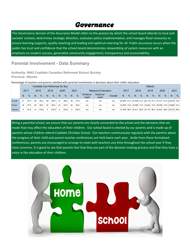## *Governance*

The Governance domain of the Assurance Model refers to the process by which the school board attends to local and societal context, determines strategic direction, evaluates policy implementation, and manages fiscal resources to ensure learning supports, quality teaching and leading and optimum learning for all. Public assurance occurs when the public has trust and confidence that the school board demonstrates stewardship of system resources with an emphasis on student success, generative community engagement, transparency and accountability.

#### **Parental Involvement - Data Summary**

**Authority: 9042 Coaldale Canadian Reformed School Society Province: Alberta**

Percentage of teachers and parents satisfied with parental involvement in decisions about their child's education.

|         |      |      |    |               |      |               |      | Coaldale Can Reformed Sc Soc |                |               |                  |                           |         |      |               |                    |               | Alberta |      |                                                             |               |      |      |
|---------|------|------|----|---------------|------|---------------|------|------------------------------|----------------|---------------|------------------|---------------------------|---------|------|---------------|--------------------|---------------|---------|------|-------------------------------------------------------------|---------------|------|------|
|         | 2017 |      |    | 2018          | 2019 |               | 2020 |                              | 2021           |               |                  | <b>Measure Evaluation</b> |         | 2017 |               | 2018               |               | 2019    |      | 2020                                                        |               | 2021 |      |
|         | N    | $\%$ | N  | $\frac{0}{0}$ | N    | $\frac{0}{6}$ | N    | %                            | N <sub>1</sub> | $\frac{9}{6}$ | Achieve-<br>ment | Improve-<br>ment          | Overall | N    | $\frac{0}{6}$ | N                  | $\frac{0}{6}$ | N       | $\%$ | N                                                           | $\frac{0}{0}$ | N    | $\%$ |
| Overall | 41   | 97.6 | 48 | 98.3          | 59   | 99.8          | 51   | 98.8                         | 39             | 97.8          | n/a              | n/a                       | n/a     |      |               |                    |               |         |      | 63,905 81.2 67,509 81.2 68,116 81.3 70,377 81.8 60,919 79.5 |               |      |      |
| Parent  | 32   | 97.5 | 36 | 96.6          | 50   | 99.6          | 42   | 97.6                         | 28             | 95.6          | n/a              | n/a                       | n/a     |      |               |                    |               |         |      | 32.505 73.9 34.998 73.4 34.944 73.6 36.556 73.9 30.886 72.2 |               |      |      |
| Teacher | 9    | 97.8 | 12 | 100.0         | 9    | 100.0         | 9    | 100.0                        | 11             | 100.0         | n/a              | n/a                       | n/a     |      |               | 31.400 88.5 32.511 |               |         |      | 88.9 33,172 89.0 33,821 89.6 30,033 86.8                    |               |      |      |

Being a parental school, we ensure that our parents are closely connected to the school and the decisions that are made that may affect the education of their children. Our school board is elected by our parents and is made up of parents whose children attend Coaldale Christian School. Our teachers communicate regularly with the parents about the progress of their child and parent-teacher conferences are held twice each year. Aside from these formalized conferences, parents are encouraged to arrange to meet with teachers any time throughout the school year if they have concerns. It is good to see that parents feel that they are part of the decision-making process and that they have a voice in the education of their children.